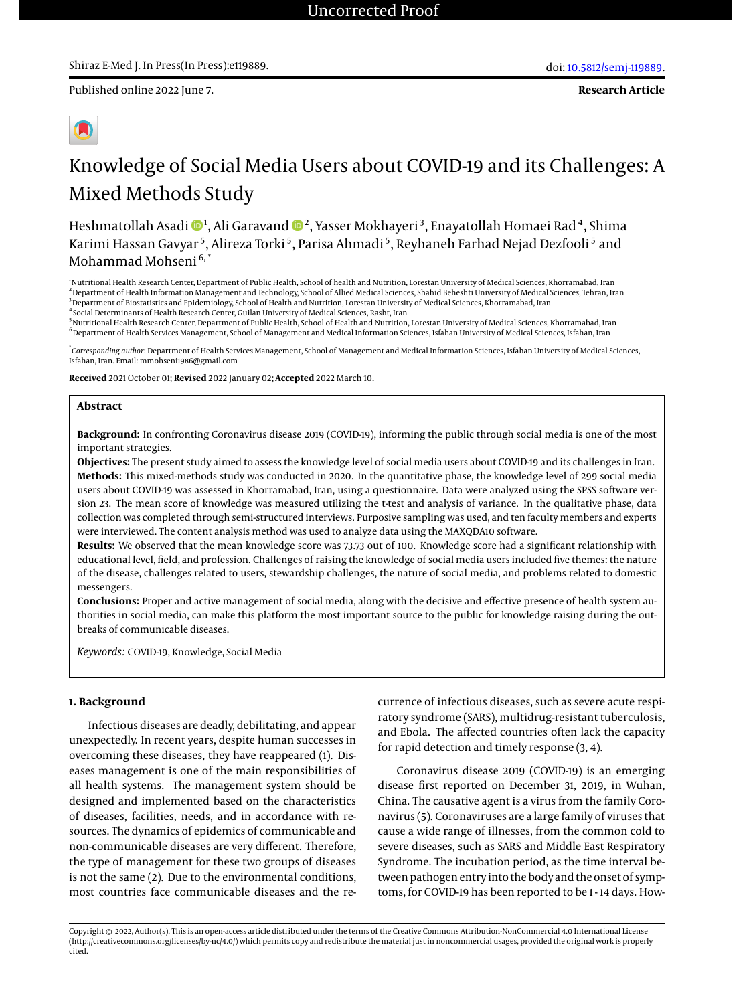**Research Article**



# Knowledge of Social Media Users about COVID-19 and its Challenges: A Mixed Methods Study

Heshmatollah Asadi  $\mathbf{D}^{1}$ , Ali Garavand  $\mathbf{D}^{2}$ , Yasser Mokhayeri $^{3}$ , Enayatollah Homaei Rad $^{4}$ , Shima Karimi Hassan Gavyar <sup>5</sup>, Alireza Torki <sup>5</sup>, Parisa Ahmadi <sup>5</sup>, Reyhaneh Farhad Nejad Dezfooli <sup>5</sup> and Mohammad Mohseni 6, \*

<sup>1</sup>Nutritional Health Research Center, Department of Public Health, School of health and Nutrition, Lorestan University of Medical Sciences, Khorramabad, Iran <sup>2</sup>Department of Health Information Management and Technology, School of Allied Medical Sciences, Shahid Beheshti University of Medical Sciences, Tehran, Iran <sup>3</sup> Department of Biostatistics and Epidemiology, School of Health and Nutrition, Lorestan University of Medical Sciences, Khorramabad, Iran 4 Social Determinants of Health Research Center, Guilan University of Medical Sciences, Rasht, Iran

<sup>5</sup>Nutritional Health Research Center, Department of Public Health, School of Health and Nutrition, Lorestan University of Medical Sciences, Khorramabad, Iran  $^6$  Department of Health Services Management, School of Management and Medical Information Sciences, Isfahan University of Medical Sciences, Isfahan, Iran

\* *Corresponding author*: Department of Health Services Management, School of Management and Medical Information Sciences, Isfahan University of Medical Sciences, Isfahan, Iran. Email: mmohseni1986@gmail.com

**Received** 2021 October 01; **Revised** 2022 January 02; **Accepted** 2022 March 10.

### **Abstract**

**Background:** In confronting Coronavirus disease 2019 (COVID-19), informing the public through social media is one of the most important strategies.

**Objectives:** The present study aimed to assess the knowledge level of social media users about COVID-19 and its challenges in Iran. **Methods:** This mixed-methods study was conducted in 2020. In the quantitative phase, the knowledge level of 299 social media users about COVID-19 was assessed in Khorramabad, Iran, using a questionnaire. Data were analyzed using the SPSS software version 23. The mean score of knowledge was measured utilizing the t-test and analysis of variance. In the qualitative phase, data collection was completed through semi-structured interviews. Purposive sampling was used, and ten faculty members and experts were interviewed. The content analysis method was used to analyze data using the MAXQDA10 software.

**Results:** We observed that the mean knowledge score was 73.73 out of 100. Knowledge score had a significant relationship with educational level, field, and profession. Challenges of raising the knowledge of social media users included five themes: the nature of the disease, challenges related to users, stewardship challenges, the nature of social media, and problems related to domestic messengers.

**Conclusions:** Proper and active management of social media, along with the decisive and effective presence of health system authorities in social media, can make this platform the most important source to the public for knowledge raising during the outbreaks of communicable diseases.

*Keywords:* COVID-19, Knowledge, Social Media

#### **1. Background**

Infectious diseases are deadly, debilitating, and appear unexpectedly. In recent years, despite human successes in overcoming these diseases, they have reappeared (1). Diseases management is one of the main responsibilities of all health systems. The management system should be designed and implemented based on the characteristics of diseases, facilities, needs, and in accordance with resources. The dynamics of epidemics of communicable and non-communicable diseases are very different. Therefore, the type of management for these two groups of diseases is not the same (2). Due to the environmental conditions, most countries face communicable diseases and the recurrence of infectious diseases, such as severe acute respiratory syndrome (SARS), multidrug-resistant tuberculosis, and Ebola. The affected countries often lack the capacity for rapid detection and timely response (3, 4).

Coronavirus disease 2019 (COVID-19) is an emerging disease first reported on December 31, 2019, in Wuhan, China. The causative agent is a virus from the family Coronavirus (5). Coronaviruses are a large family of viruses that cause a wide range of illnesses, from the common cold to severe diseases, such as SARS and Middle East Respiratory Syndrome. The incubation period, as the time interval between pathogen entry into the body and the onset of symptoms, for COVID-19 has been reported to be 1 - 14 days. How-

Copyright © 2022, Author(s). This is an open-access article distributed under the terms of the Creative Commons Attribution-NonCommercial 4.0 International License (http://creativecommons.org/licenses/by-nc/4.0/) which permits copy and redistribute the material just in noncommercial usages, provided the original work is properly cited.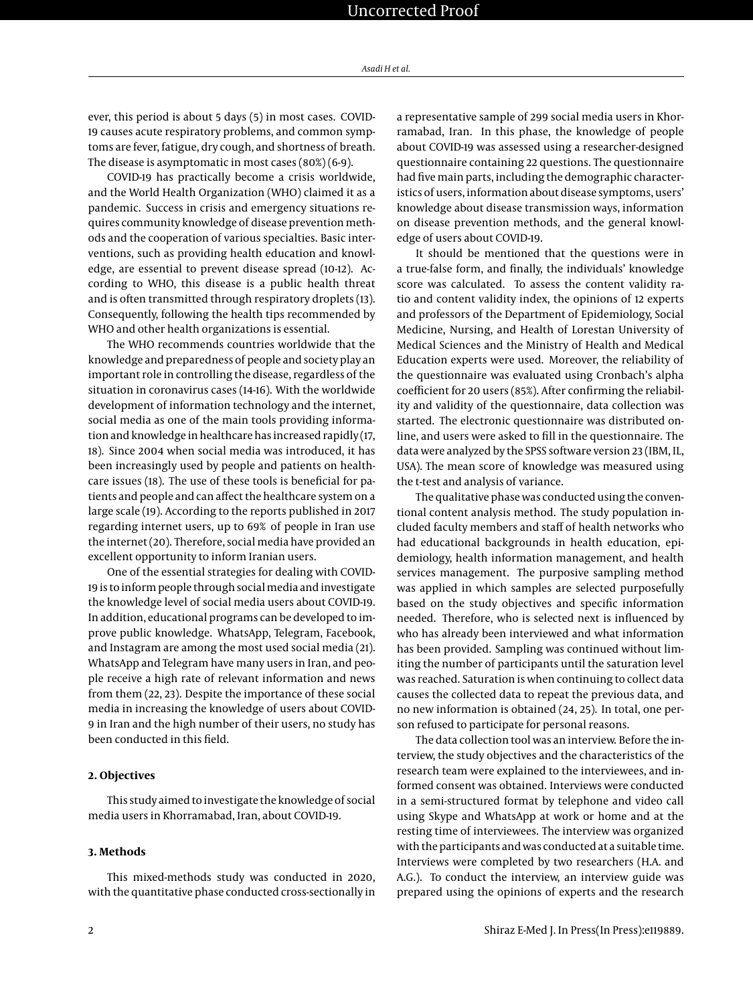ever, this period is about 5 days (5) in most cases. COVID-19 causes acute respiratory problems, and common symptoms are fever, fatigue, dry cough, and shortness of breath. The disease is asymptomatic in most cases (80%) (6-9).

COVID-19 has practically become a crisis worldwide, and the World Health Organization (WHO) claimed it as a pandemic. Success in crisis and emergency situations requires community knowledge of disease prevention methods and the cooperation of various specialties. Basic interventions, such as providing health education and knowledge, are essential to prevent disease spread (10-12). According to WHO, this disease is a public health threat and is often transmitted through respiratory droplets (13). Consequently, following the health tips recommended by WHO and other health organizations is essential.

The WHO recommends countries worldwide that the knowledge and preparedness of people and society play an important role in controlling the disease, regardless of the situation in coronavirus cases (14-16). With the worldwide development of information technology and the internet, social media as one of the main tools providing information and knowledge in healthcare has increased rapidly (17, 18). Since 2004 when social media was introduced, it has been increasingly used by people and patients on healthcare issues (18). The use of these tools is beneficial for patients and people and can affect the healthcare system on a large scale (19). According to the reports published in 2017 regarding internet users, up to 69% of people in Iran use the internet (20). Therefore, social media have provided an excellent opportunity to inform Iranian users.

One of the essential strategies for dealing with COVID-19 is to inform people through socialmedia and investigate the knowledge level of social media users about COVID-19. In addition, educational programs can be developed to improve public knowledge. WhatsApp, Telegram, Facebook, and Instagram are among the most used social media (21). WhatsApp and Telegram have many users in Iran, and people receive a high rate of relevant information and news from them (22, 23). Despite the importance of these social media in increasing the knowledge of users about COVID-9 in Iran and the high number of their users, no study has been conducted in this field.

#### **2. Objectives**

This study aimed to investigate the knowledge of social media users in Khorramabad, Iran, about COVID-19.

# **3. Methods**

This mixed-methods study was conducted in 2020, with the quantitative phase conducted cross-sectionally in

a representative sample of 299 social media users in Khorramabad, Iran. In this phase, the knowledge of people about COVID-19 was assessed using a researcher-designed questionnaire containing 22 questions. The questionnaire had five main parts, including the demographic characteristics of users, information about disease symptoms, users' knowledge about disease transmission ways, information on disease prevention methods, and the general knowledge of users about COVID-19.

It should be mentioned that the questions were in a true-false form, and finally, the individuals' knowledge score was calculated. To assess the content validity ratio and content validity index, the opinions of 12 experts and professors of the Department of Epidemiology, Social Medicine, Nursing, and Health of Lorestan University of Medical Sciences and the Ministry of Health and Medical Education experts were used. Moreover, the reliability of the questionnaire was evaluated using Cronbach's alpha coefficient for 20 users (85%). After confirming the reliability and validity of the questionnaire, data collection was started. The electronic questionnaire was distributed online, and users were asked to fill in the questionnaire. The data were analyzed by the SPSS software version 23 (IBM, IL, USA). The mean score of knowledge was measured using the t-test and analysis of variance.

The qualitative phase was conducted using the conventional content analysis method. The study population included faculty members and staff of health networks who had educational backgrounds in health education, epidemiology, health information management, and health services management. The purposive sampling method was applied in which samples are selected purposefully based on the study objectives and specific information needed. Therefore, who is selected next is influenced by who has already been interviewed and what information has been provided. Sampling was continued without limiting the number of participants until the saturation level was reached. Saturation is when continuing to collect data causes the collected data to repeat the previous data, and no new information is obtained (24, 25). In total, one person refused to participate for personal reasons.

The data collection tool was an interview. Before the interview, the study objectives and the characteristics of the research team were explained to the interviewees, and informed consent was obtained. Interviews were conducted in a semi-structured format by telephone and video call using Skype and WhatsApp at work or home and at the resting time of interviewees. The interview was organized with the participants and was conducted at a suitable time. Interviews were completed by two researchers (H.A. and A.G.). To conduct the interview, an interview guide was prepared using the opinions of experts and the research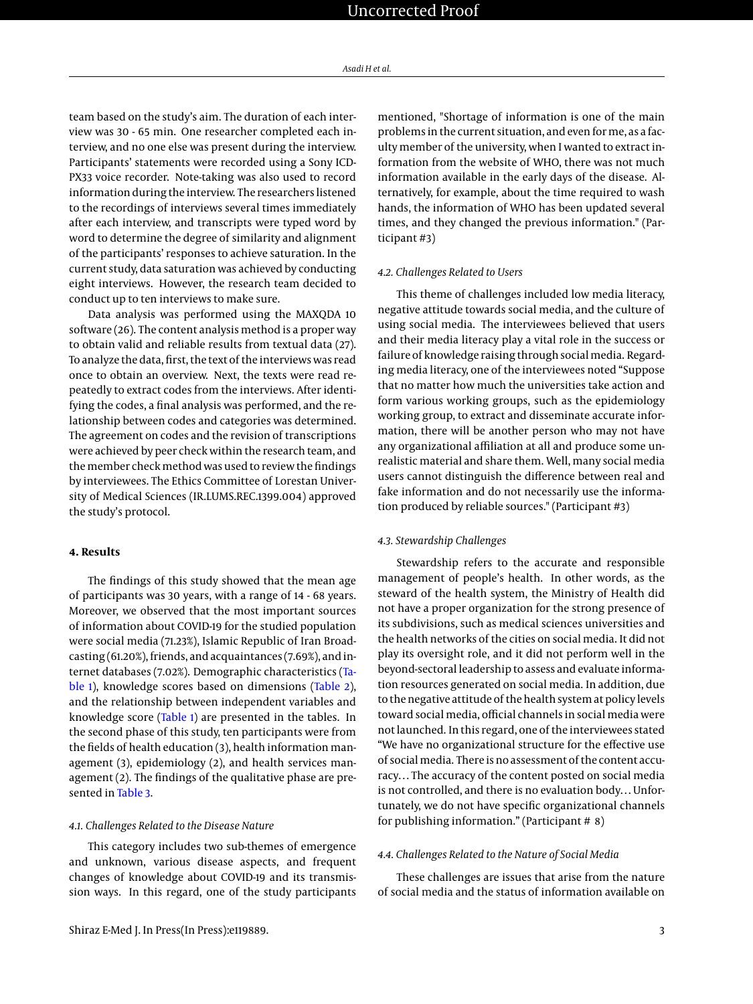team based on the study's aim. The duration of each interview was 30 - 65 min. One researcher completed each interview, and no one else was present during the interview. Participants' statements were recorded using a Sony ICD-PX33 voice recorder. Note-taking was also used to record information during the interview. The researchers listened to the recordings of interviews several times immediately after each interview, and transcripts were typed word by word to determine the degree of similarity and alignment of the participants' responses to achieve saturation. In the current study, data saturation was achieved by conducting eight interviews. However, the research team decided to conduct up to ten interviews to make sure.

Data analysis was performed using the MAXQDA 10 software (26). The content analysis method is a proper way to obtain valid and reliable results from textual data (27). To analyze the data, first, the text of the interviews was read once to obtain an overview. Next, the texts were read repeatedly to extract codes from the interviews. After identifying the codes, a final analysis was performed, and the relationship between codes and categories was determined. The agreement on codes and the revision of transcriptions were achieved by peer check within the research team, and the member check method was used to review the findings by interviewees. The Ethics Committee of Lorestan University of Medical Sciences (IR.LUMS.REC.1399.004) approved the study's protocol.

# **4. Results**

The findings of this study showed that the mean age of participants was 30 years, with a range of 14 - 68 years. Moreover, we observed that the most important sources of information about COVID-19 for the studied population were social media (71.23%), Islamic Republic of Iran Broadcasting (61.20%), friends, and acquaintances (7.69%), and internet databases (7.02%). Demographic characteristics [\(Ta](#page-3-0)[ble 1\)](#page-3-0), knowledge scores based on dimensions [\(Table 2\)](#page-4-0), and the relationship between independent variables and knowledge score [\(Table 1\)](#page-3-0) are presented in the tables. In the second phase of this study, ten participants were from the fields of health education (3), health information management (3), epidemiology (2), and health services management (2). The findings of the qualitative phase are presented in [Table 3.](#page-5-0)

#### *4.1. Challenges Related to the Disease Nature*

This category includes two sub-themes of emergence and unknown, various disease aspects, and frequent changes of knowledge about COVID-19 and its transmission ways. In this regard, one of the study participants

mentioned, "Shortage of information is one of the main problems in the current situation, and even forme, as a faculty member of the university, when I wanted to extract information from the website of WHO, there was not much information available in the early days of the disease. Alternatively, for example, about the time required to wash hands, the information of WHO has been updated several times, and they changed the previous information." (Participant #3)

### *4.2. Challenges Related to Users*

This theme of challenges included low media literacy, negative attitude towards social media, and the culture of using social media. The interviewees believed that users and their media literacy play a vital role in the success or failure of knowledge raising through social media. Regarding media literacy, one of the interviewees noted "Suppose that no matter how much the universities take action and form various working groups, such as the epidemiology working group, to extract and disseminate accurate information, there will be another person who may not have any organizational affiliation at all and produce some unrealistic material and share them. Well, many social media users cannot distinguish the difference between real and fake information and do not necessarily use the information produced by reliable sources." (Participant #3)

#### *4.3. Stewardship Challenges*

Stewardship refers to the accurate and responsible management of people's health. In other words, as the steward of the health system, the Ministry of Health did not have a proper organization for the strong presence of its subdivisions, such as medical sciences universities and the health networks of the cities on social media. It did not play its oversight role, and it did not perform well in the beyond-sectoral leadership to assess and evaluate information resources generated on social media. In addition, due to the negative attitude of the health system at policy levels toward social media, official channels in social media were not launched. In this regard, one of the interviewees stated "We have no organizational structure for the effective use of socialmedia. There is no assessment of the content accuracy… The accuracy of the content posted on social media is not controlled, and there is no evaluation body… Unfortunately, we do not have specific organizational channels for publishing information." (Participant # 8)

#### *4.4. Challenges Related to the Nature of Social Media*

These challenges are issues that arise from the nature of social media and the status of information available on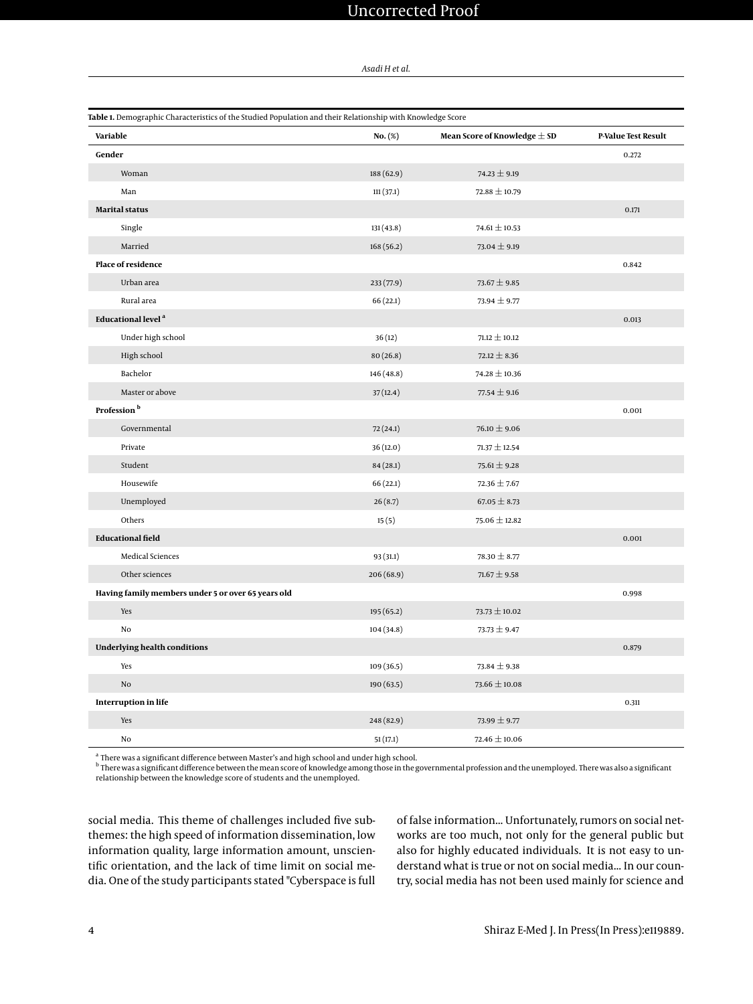# Uncorrected Proof

*Asadi H et al.*

<span id="page-3-0"></span>

| Table 1. Demographic Characteristics of the Studied Population and their Relationship with Knowledge Score |            |                                  |                            |  |  |
|------------------------------------------------------------------------------------------------------------|------------|----------------------------------|----------------------------|--|--|
| Variable                                                                                                   | $No.$ (%)  | Mean Score of Knowledge $\pm$ SD | <b>P-Value Test Result</b> |  |  |
| Gender                                                                                                     |            |                                  | 0.272                      |  |  |
| Woman                                                                                                      | 188 (62.9) | 74.23 $\pm$ 9.19                 |                            |  |  |
| Man                                                                                                        | 111(37.1)  | $72.88 \pm 10.79$                |                            |  |  |
| <b>Marital status</b>                                                                                      |            |                                  | 0.171                      |  |  |
| Single                                                                                                     | 131(43.8)  | 74.61 $\pm$ 10.53                |                            |  |  |
| Married                                                                                                    | 168 (56.2) | $73.04 \pm 9.19$                 |                            |  |  |
| Place of residence                                                                                         |            |                                  |                            |  |  |
| Urban area                                                                                                 | 233 (77.9) | 73.67 $\pm$ 9.85                 |                            |  |  |
| Rural area                                                                                                 | 66(22.1)   | $73.94 \pm 9.77$                 |                            |  |  |
| <b>Educational level<sup>a</sup></b>                                                                       |            |                                  | 0.013                      |  |  |
| Under high school                                                                                          | 36(12)     | $71.12 \pm 10.12$                |                            |  |  |
| High school                                                                                                | 80(26.8)   | $72.12 \pm 8.36$                 |                            |  |  |
| Bachelor                                                                                                   | 146 (48.8) | $74.28 \pm 10.36$                |                            |  |  |
| Master or above                                                                                            | 37(12.4)   | $77.54 \pm 9.16$                 |                            |  |  |
| Profession <sup>b</sup>                                                                                    |            |                                  | 0.001                      |  |  |
| Governmental                                                                                               | 72(24.1)   | 76.10 $\pm$ 9.06                 |                            |  |  |
| Private                                                                                                    | 36(12.0)   | $71.37 \pm 12.54$                |                            |  |  |
| Student                                                                                                    | 84(28.1)   | $75.61 \pm 9.28$                 |                            |  |  |
| Housewife                                                                                                  | 66(22.1)   | $72.36 \pm 7.67$                 |                            |  |  |
| Unemployed                                                                                                 | 26(8.7)    | $67.05 \pm 8.73$                 |                            |  |  |
| Others                                                                                                     | 15(5)      | $75.06 \pm 12.82$                |                            |  |  |
| <b>Educational field</b>                                                                                   |            |                                  | 0.001                      |  |  |
| <b>Medical Sciences</b>                                                                                    | 93 (31.1)  | 78.30 $\pm$ 8.77                 |                            |  |  |
| Other sciences                                                                                             | 206 (68.9) | $71.67 \pm 9.58$                 |                            |  |  |
| Having family members under 5 or over 65 years old                                                         |            |                                  | 0.998                      |  |  |
| Yes                                                                                                        | 195 (65.2) | 73.73 $\pm$ 10.02                |                            |  |  |
| No                                                                                                         | 104(34.8)  | $73.73 \pm 9.47$                 |                            |  |  |
| <b>Underlying health conditions</b>                                                                        |            |                                  | 0.879                      |  |  |
| Yes                                                                                                        | 109(36.5)  | 73.84 $\pm$ 9.38                 |                            |  |  |
| $\rm No$                                                                                                   | 190(63.5)  | $73.66 \pm 10.08$                |                            |  |  |
| <b>Interruption in life</b>                                                                                | 0.311      |                                  |                            |  |  |
| Yes                                                                                                        | 248 (82.9) | 73.99 $\pm$ 9.77                 |                            |  |  |
| No                                                                                                         | 51(17.1)   | $72.46 \pm 10.06$                |                            |  |  |

<sup>a</sup> There was a significant difference between Master's and high school and under high school.

 $^{\rm b}$  There was a significant difference between the mean score of knowledge among those in the governmental profession and the unemployed. There was also a significant relationship between the knowledge score of students and the unemployed.

social media. This theme of challenges included five subthemes: the high speed of information dissemination, low information quality, large information amount, unscientific orientation, and the lack of time limit on social media. One of the study participants stated "Cyberspace is full of false information... Unfortunately, rumors on social networks are too much, not only for the general public but also for highly educated individuals. It is not easy to understand what is true or not on social media... In our country, social media has not been used mainly for science and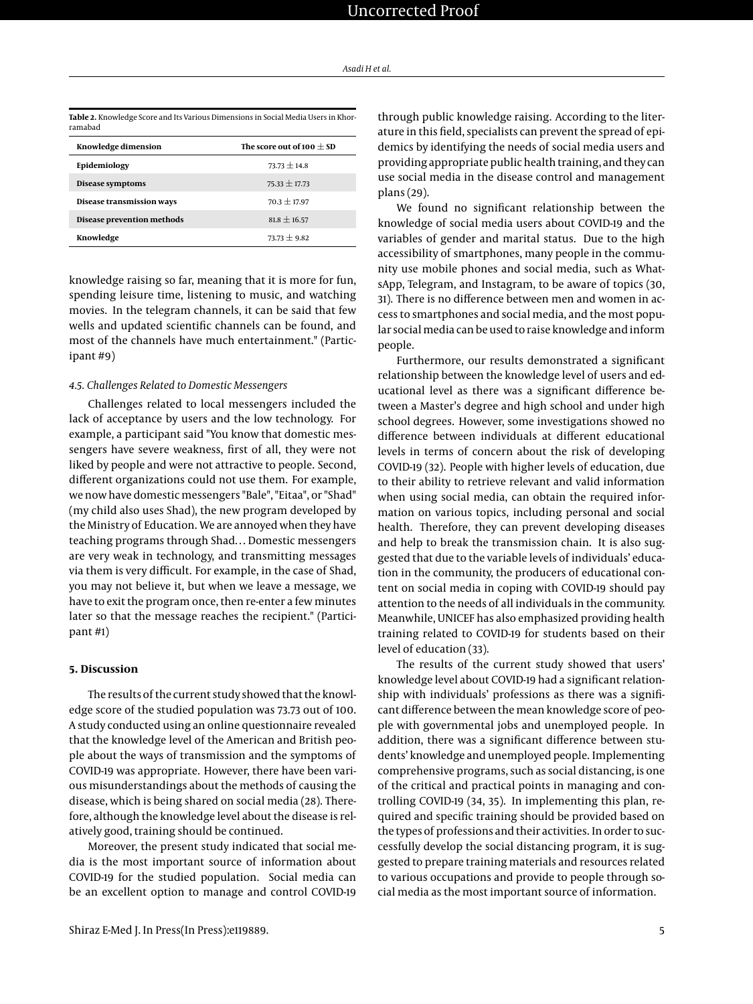<span id="page-4-0"></span>

| Table 2. Knowledge Score and Its Various Dimensions in Social Media Users in Khor- |
|------------------------------------------------------------------------------------|
| ramabad                                                                            |

| Knowledge dimension        | The score out of 100 $\pm$ SD |
|----------------------------|-------------------------------|
| Epidemiology               | $73.73 + 14.8$                |
| Disease symptoms           | $75.33 + 17.73$               |
| Disease transmission ways  | $70.3 + 17.97$                |
| Disease prevention methods | $81.8 \pm 16.57$              |
| Knowledge                  | $73.73 + 9.82$                |

knowledge raising so far, meaning that it is more for fun, spending leisure time, listening to music, and watching movies. In the telegram channels, it can be said that few wells and updated scientific channels can be found, and most of the channels have much entertainment." (Participant #9)

#### *4.5. Challenges Related to Domestic Messengers*

Challenges related to local messengers included the lack of acceptance by users and the low technology. For example, a participant said "You know that domestic messengers have severe weakness, first of all, they were not liked by people and were not attractive to people. Second, different organizations could not use them. For example, we now have domestic messengers "Bale", "Eitaa", or "Shad" (my child also uses Shad), the new program developed by the Ministry of Education. We are annoyed when they have teaching programs through Shad… Domestic messengers are very weak in technology, and transmitting messages via them is very difficult. For example, in the case of Shad, you may not believe it, but when we leave a message, we have to exit the program once, then re-enter a few minutes later so that the message reaches the recipient." (Participant #1)

# **5. Discussion**

The results of the current study showed that the knowledge score of the studied population was 73.73 out of 100. A study conducted using an online questionnaire revealed that the knowledge level of the American and British people about the ways of transmission and the symptoms of COVID-19 was appropriate. However, there have been various misunderstandings about the methods of causing the disease, which is being shared on social media (28). Therefore, although the knowledge level about the disease is relatively good, training should be continued.

Moreover, the present study indicated that social media is the most important source of information about COVID-19 for the studied population. Social media can be an excellent option to manage and control COVID-19

through public knowledge raising. According to the literature in this field, specialists can prevent the spread of epidemics by identifying the needs of social media users and providing appropriate public health training, and they can use social media in the disease control and management plans (29).

We found no significant relationship between the knowledge of social media users about COVID-19 and the variables of gender and marital status. Due to the high accessibility of smartphones, many people in the community use mobile phones and social media, such as WhatsApp, Telegram, and Instagram, to be aware of topics (30, 31). There is no difference between men and women in access to smartphones and social media, and the most popular social media can be used to raise knowledge and inform people.

Furthermore, our results demonstrated a significant relationship between the knowledge level of users and educational level as there was a significant difference between a Master's degree and high school and under high school degrees. However, some investigations showed no difference between individuals at different educational levels in terms of concern about the risk of developing COVID-19 (32). People with higher levels of education, due to their ability to retrieve relevant and valid information when using social media, can obtain the required information on various topics, including personal and social health. Therefore, they can prevent developing diseases and help to break the transmission chain. It is also suggested that due to the variable levels of individuals' education in the community, the producers of educational content on social media in coping with COVID-19 should pay attention to the needs of all individuals in the community. Meanwhile, UNICEF has also emphasized providing health training related to COVID-19 for students based on their level of education (33).

The results of the current study showed that users' knowledge level about COVID-19 had a significant relationship with individuals' professions as there was a significant difference between the mean knowledge score of people with governmental jobs and unemployed people. In addition, there was a significant difference between students' knowledge and unemployed people. Implementing comprehensive programs, such as social distancing, is one of the critical and practical points in managing and controlling COVID-19 (34, 35). In implementing this plan, required and specific training should be provided based on the types of professions and their activities. In order to successfully develop the social distancing program, it is suggested to prepare training materials and resources related to various occupations and provide to people through social media as the most important source of information.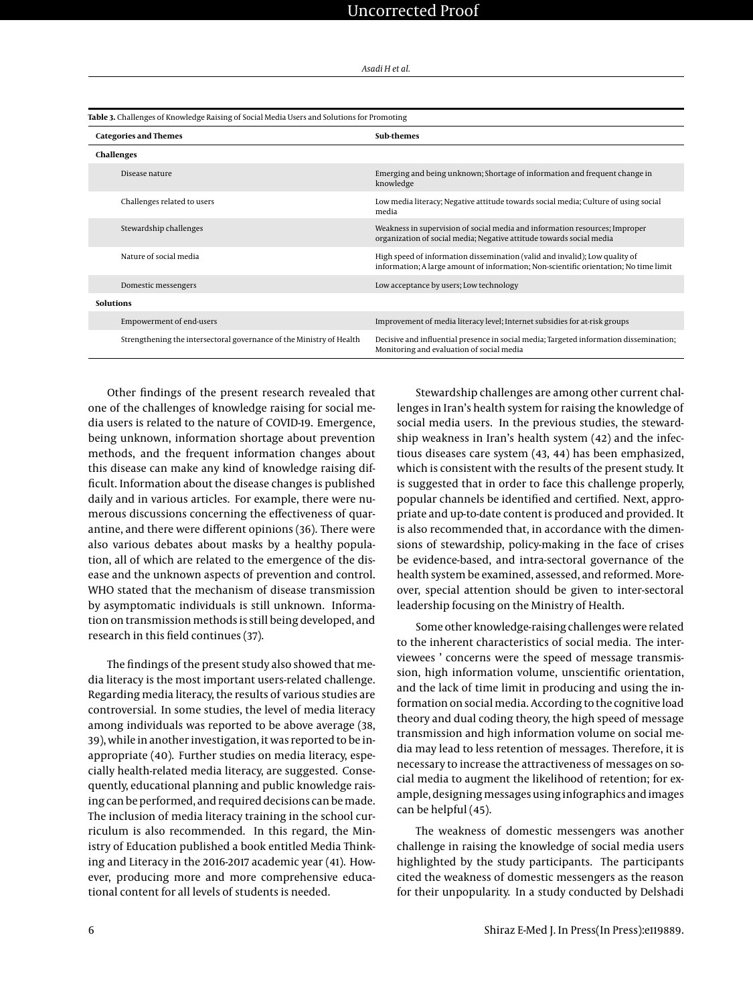<span id="page-5-0"></span>

| Table 3. Challenges of Knowledge Raising of Social Media Users and Solutions for Promoting |                                                                      |                                                                                                                                                                      |  |  |
|--------------------------------------------------------------------------------------------|----------------------------------------------------------------------|----------------------------------------------------------------------------------------------------------------------------------------------------------------------|--|--|
| <b>Categories and Themes</b>                                                               |                                                                      | Sub-themes                                                                                                                                                           |  |  |
|                                                                                            | Challenges                                                           |                                                                                                                                                                      |  |  |
|                                                                                            | Disease nature                                                       | Emerging and being unknown; Shortage of information and frequent change in<br>knowledge                                                                              |  |  |
|                                                                                            | Challenges related to users                                          | Low media literacy; Negative attitude towards social media; Culture of using social<br>media                                                                         |  |  |
|                                                                                            | Stewardship challenges                                               | Weakness in supervision of social media and information resources; Improper<br>organization of social media; Negative attitude towards social media                  |  |  |
|                                                                                            | Nature of social media                                               | High speed of information dissemination (valid and invalid); Low quality of<br>information; A large amount of information; Non-scientific orientation; No time limit |  |  |
|                                                                                            | Domestic messengers                                                  | Low acceptance by users; Low technology                                                                                                                              |  |  |
| <b>Solutions</b>                                                                           |                                                                      |                                                                                                                                                                      |  |  |
|                                                                                            | <b>Empowerment of end-users</b>                                      | Improvement of media literacy level; Internet subsidies for at-risk groups                                                                                           |  |  |
|                                                                                            | Strengthening the intersectoral governance of the Ministry of Health | Decisive and influential presence in social media; Targeted information dissemination;<br>Monitoring and evaluation of social media                                  |  |  |

Other findings of the present research revealed that one of the challenges of knowledge raising for social media users is related to the nature of COVID-19. Emergence, being unknown, information shortage about prevention methods, and the frequent information changes about this disease can make any kind of knowledge raising difficult. Information about the disease changes is published daily and in various articles. For example, there were numerous discussions concerning the effectiveness of quarantine, and there were different opinions (36). There were also various debates about masks by a healthy population, all of which are related to the emergence of the disease and the unknown aspects of prevention and control. WHO stated that the mechanism of disease transmission by asymptomatic individuals is still unknown. Information on transmission methods is still being developed, and research in this field continues (37).

The findings of the present study also showed that media literacy is the most important users-related challenge. Regarding media literacy, the results of various studies are controversial. In some studies, the level of media literacy among individuals was reported to be above average (38, 39), while in another investigation, it was reported to be inappropriate (40). Further studies on media literacy, especially health-related media literacy, are suggested. Consequently, educational planning and public knowledge raising can be performed, and required decisions can be made. The inclusion of media literacy training in the school curriculum is also recommended. In this regard, the Ministry of Education published a book entitled Media Thinking and Literacy in the 2016-2017 academic year (41). However, producing more and more comprehensive educational content for all levels of students is needed.

Stewardship challenges are among other current challenges in Iran's health system for raising the knowledge of social media users. In the previous studies, the stewardship weakness in Iran's health system (42) and the infectious diseases care system (43, 44) has been emphasized, which is consistent with the results of the present study. It is suggested that in order to face this challenge properly, popular channels be identified and certified. Next, appropriate and up-to-date content is produced and provided. It is also recommended that, in accordance with the dimensions of stewardship, policy-making in the face of crises be evidence-based, and intra-sectoral governance of the health system be examined, assessed, and reformed. Moreover, special attention should be given to inter-sectoral leadership focusing on the Ministry of Health.

Some other knowledge-raising challenges were related to the inherent characteristics of social media. The interviewees ' concerns were the speed of message transmission, high information volume, unscientific orientation, and the lack of time limit in producing and using the information on social media. According to the cognitive load theory and dual coding theory, the high speed of message transmission and high information volume on social media may lead to less retention of messages. Therefore, it is necessary to increase the attractiveness of messages on social media to augment the likelihood of retention; for example, designing messages using infographics and images can be helpful (45).

The weakness of domestic messengers was another challenge in raising the knowledge of social media users highlighted by the study participants. The participants cited the weakness of domestic messengers as the reason for their unpopularity. In a study conducted by Delshadi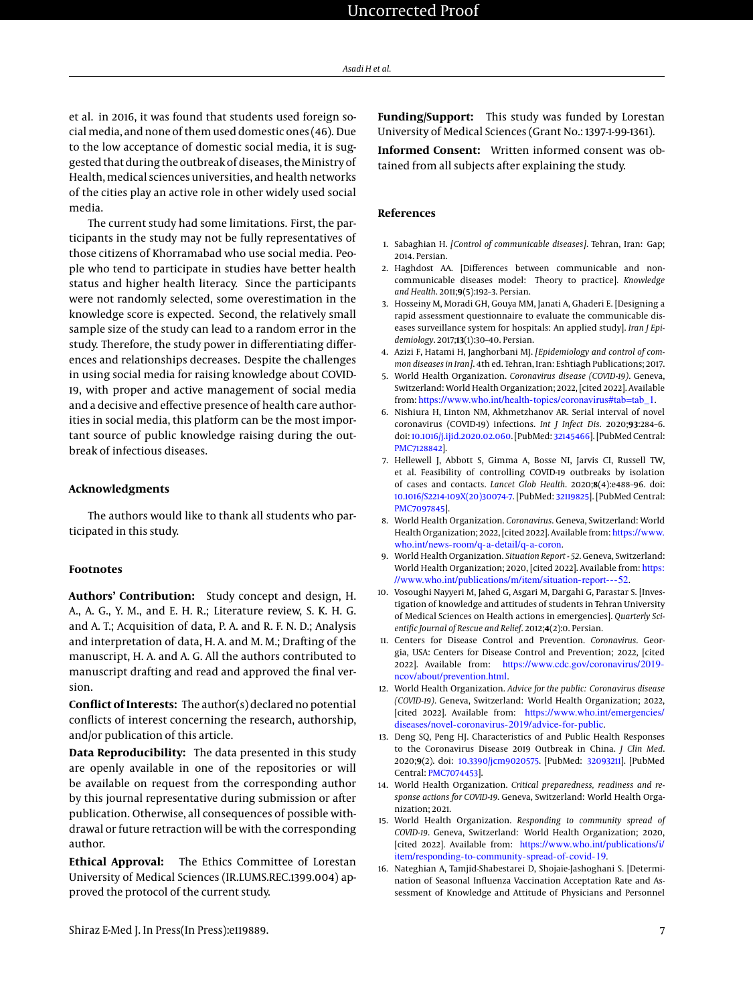et al. in 2016, it was found that students used foreign socialmedia, and none of them used domestic ones (46). Due to the low acceptance of domestic social media, it is suggested that during the outbreak of diseases, the Ministry of Health, medical sciences universities, and health networks of the cities play an active role in other widely used social media.

The current study had some limitations. First, the participants in the study may not be fully representatives of those citizens of Khorramabad who use social media. People who tend to participate in studies have better health status and higher health literacy. Since the participants were not randomly selected, some overestimation in the knowledge score is expected. Second, the relatively small sample size of the study can lead to a random error in the study. Therefore, the study power in differentiating differences and relationships decreases. Despite the challenges in using social media for raising knowledge about COVID-19, with proper and active management of social media and a decisive and effective presence of health care authorities in social media, this platform can be the most important source of public knowledge raising during the outbreak of infectious diseases.

# **Acknowledgments**

The authors would like to thank all students who participated in this study.

# **Footnotes**

**Authors' Contribution:** Study concept and design, H. A., A. G., Y. M., and E. H. R.; Literature review, S. K. H. G. and A. T.; Acquisition of data, P. A. and R. F. N. D.; Analysis and interpretation of data, H. A. and M. M.; Drafting of the manuscript, H. A. and A. G. All the authors contributed to manuscript drafting and read and approved the final version.

**Conflict of Interests:** The author(s) declared no potential conflicts of interest concerning the research, authorship, and/or publication of this article.

**Data Reproducibility:** The data presented in this study are openly available in one of the repositories or will be available on request from the corresponding author by this journal representative during submission or after publication. Otherwise, all consequences of possible withdrawal or future retraction will be with the corresponding author.

**Ethical Approval:** The Ethics Committee of Lorestan University of Medical Sciences (IR.LUMS.REC.1399.004) approved the protocol of the current study.

**Funding/Support:** This study was funded by Lorestan University of Medical Sciences (Grant No.: 1397-1-99-1361).

**Informed Consent:** Written informed consent was obtained from all subjects after explaining the study.

# **References**

- 1. Sabaghian H. *[Control of communicable diseases]*. Tehran, Iran: Gap; 2014. Persian.
- 2. Haghdost AA. [Differences between communicable and noncommunicable diseases model: Theory to practice]. *Knowledge and Health*. 2011;**9**(5):192–3. Persian.
- 3. Hosseiny M, Moradi GH, Gouya MM, Janati A, Ghaderi E. [Designing a rapid assessment questionnaire to evaluate the communicable diseases surveillance system for hospitals: An applied study]. *Iran J Epidemiology*. 2017;**13**(1):30–40. Persian.
- 4. Azizi F, Hatami H, Janghorbani MJ. *[Epidemiology and control of common diseases in Iran]*. 4th ed. Tehran, Iran: Eshtiagh Publications; 2017.
- 5. World Health Organization. *Coronavirus disease (COVID-19)*. Geneva, Switzerland: World Health Organization; 2022, [cited 2022]. Available from: [https://www.who.int/health-topics/coronavirus#tab=tab\\_1](https://www.who.int/health-topics/coronavirus#tab=tab_1).
- 6. Nishiura H, Linton NM, Akhmetzhanov AR. Serial interval of novel coronavirus (COVID-19) infections. *Int J Infect Dis*. 2020;**93**:284–6. doi: [10.1016/j.ijid.2020.02.060.](http://dx.doi.org/10.1016/j.ijid.2020.02.060) [PubMed: [32145466\]](http://www.ncbi.nlm.nih.gov/pubmed/32145466). [PubMed Central: [PMC7128842\]](https://www.ncbi.nlm.nih.gov/pmc/articles/PMC7128842).
- 7. Hellewell J, Abbott S, Gimma A, Bosse NI, Jarvis CI, Russell TW, et al. Feasibility of controlling COVID-19 outbreaks by isolation of cases and contacts. *Lancet Glob Health*. 2020;**8**(4):e488–96. doi: [10.1016/S2214-109X\(20\)30074-7.](http://dx.doi.org/10.1016/S2214-109X(20)30074-7) [PubMed: [32119825\]](http://www.ncbi.nlm.nih.gov/pubmed/32119825). [PubMed Central: [PMC7097845\]](https://www.ncbi.nlm.nih.gov/pmc/articles/PMC7097845).
- 8. World Health Organization. *Coronavirus*. Geneva, Switzerland: World Health Organization; 2022, [cited 2022]. Available from: [https://www.](https://www.who.int/news-room/q-a-detail/q-a-coron) [who.int/news-room/q-a-detail/q-a-coron](https://www.who.int/news-room/q-a-detail/q-a-coron).
- 9. World Health Organization. *Situation Report 52*. Geneva, Switzerland: World Health Organization; 2020, [cited 2022]. Available from: [https:](https://www.who.int/publications/m/item/situation-report---52) [//www.who.int/publications/m/item/situation-report---52](https://www.who.int/publications/m/item/situation-report---52).
- 10. Vosoughi Nayyeri M, Jahed G, Asgari M, Dargahi G, Parastar S. [Investigation of knowledge and attitudes of students in Tehran University of Medical Sciences on Health actions in emergencies]. *Quarterly Scientific Journal of Rescue and Relief*. 2012;**4**(2):0. Persian.
- 11. Centers for Disease Control and Prevention. *Coronavirus*. Georgia, USA: Centers for Disease Control and Prevention; 2022, [cited 2022]. Available from: [https://www.cdc.gov/coronavirus/2019](https://www.cdc.gov/coronavirus/2019-ncov/about/prevention.html) [ncov/about/prevention.html](https://www.cdc.gov/coronavirus/2019-ncov/about/prevention.html).
- 12. World Health Organization. *Advice for the public: Coronavirus disease (COVID-19)*. Geneva, Switzerland: World Health Organization; 2022, [cited 2022]. Available from: [https://www.who.int/emergencies/](https://www.who.int/emergencies/diseases/novel-coronavirus-2019/advice-for-public) [diseases/novel-coronavirus-2019/advice-for-public](https://www.who.int/emergencies/diseases/novel-coronavirus-2019/advice-for-public).
- 13. Deng SQ, Peng HJ. Characteristics of and Public Health Responses to the Coronavirus Disease 2019 Outbreak in China. *J Clin Med*. 2020;**9**(2). doi: [10.3390/jcm9020575.](http://dx.doi.org/10.3390/jcm9020575) [PubMed: [32093211\]](http://www.ncbi.nlm.nih.gov/pubmed/32093211). [PubMed Central: [PMC7074453\]](https://www.ncbi.nlm.nih.gov/pmc/articles/PMC7074453).
- 14. World Health Organization. *Critical preparedness, readiness and response actions for COVID-19*. Geneva, Switzerland: World Health Organization; 2021.
- 15. World Health Organization. *Responding to community spread of COVID-19*. Geneva, Switzerland: World Health Organization; 2020, [cited 2022]. Available from: [https://www.who.int/publications/i/](https://www.who.int/publications/i/item/responding-to-community-spread-of-covid-19) [item/responding-to-community-spread-of-covid-19](https://www.who.int/publications/i/item/responding-to-community-spread-of-covid-19).
- 16. Nateghian A, Tamjid-Shabestarei D, Shojaie-Jashoghani S. [Determination of Seasonal Influenza Vaccination Acceptation Rate and Assessment of Knowledge and Attitude of Physicians and Personnel